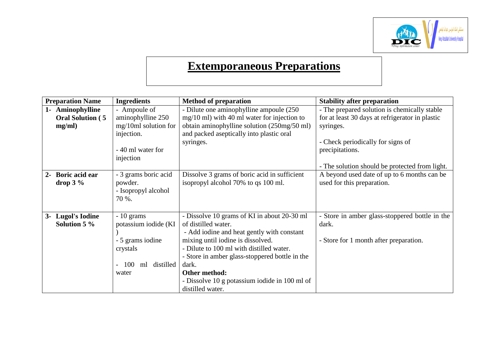

## **Extemporaneous Preparations**

| <b>Preparation Name</b>        | <b>Ingredients</b>     | <b>Method of preparation</b>                   | <b>Stability after preparation</b>              |
|--------------------------------|------------------------|------------------------------------------------|-------------------------------------------------|
| Aminophylline<br>$1 -$         | - Ampoule of           | - Dilute one aminophylline ampoule (250        | - The prepared solution is chemically stable    |
| <b>Oral Solution (5)</b>       | aminophylline 250      | $mg/10$ ml) with 40 ml water for injection to  | for at least 30 days at refrigerator in plastic |
| mg/ml)                         | mg/10ml solution for   | obtain aminophylline solution (250mg/50 ml)    | syringes.                                       |
|                                | injection.             | and packed aseptically into plastic oral       |                                                 |
|                                |                        | syringes.                                      | - Check periodically for signs of               |
|                                | - 40 ml water for      |                                                | precipitations.                                 |
|                                | injection              |                                                |                                                 |
|                                |                        |                                                | - The solution should be protected from light.  |
| <b>Boric acid ear</b><br>$2 -$ | - 3 grams boric acid   | Dissolve 3 grams of boric acid in sufficient   | A beyond used date of up to 6 months can be     |
| $drop 3 \%$                    | powder.                | isopropyl alcohol 70% to qs 100 ml.            | used for this preparation.                      |
|                                | - Isopropyl alcohol    |                                                |                                                 |
|                                | 70 %.                  |                                                |                                                 |
|                                |                        |                                                |                                                 |
| 3- Lugol's Iodine              | $-10$ grams            | - Dissolve 10 grams of KI in about 20-30 ml    | - Store in amber glass-stoppered bottle in the  |
| Solution 5 %                   | potassium iodide (KI   | of distilled water.                            | dark.                                           |
|                                |                        | - Add iodine and heat gently with constant     |                                                 |
|                                | - 5 grams iodine       | mixing until iodine is dissolved.              | - Store for 1 month after preparation.          |
|                                | crystals               | - Dilute to 100 ml with distilled water.       |                                                 |
|                                |                        | - Store in amber glass-stoppered bottle in the |                                                 |
|                                | distilled<br>100<br>ml | dark.                                          |                                                 |
|                                | water                  | Other method:                                  |                                                 |
|                                |                        | - Dissolve 10 g potassium iodide in 100 ml of  |                                                 |
|                                |                        | distilled water.                               |                                                 |